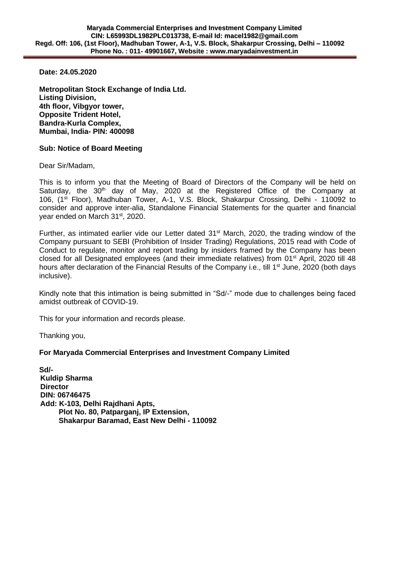**Date: 24.05.2020**

**Metropolitan Stock Exchange of India Ltd. Listing Division, 4th floor, Vibgyor tower, Opposite Trident Hotel, Bandra-Kurla Complex, Mumbai, India- PIN: 400098**

## **Sub: Notice of Board Meeting**

Dear Sir/Madam,

This is to inform you that the Meeting of Board of Directors of the Company will be held on Saturday, the 30<sup>th</sup> day of May, 2020 at the Registered Office of the Company at 106, (1st Floor), Madhuban Tower, A-1, V.S. Block, Shakarpur Crossing, Delhi - 110092 to consider and approve inter-alia, Standalone Financial Statements for the quarter and financial year ended on March 31st, 2020.

Further, as intimated earlier vide our Letter dated 31<sup>st</sup> March, 2020, the trading window of the Company pursuant to SEBI (Prohibition of Insider Trading) Regulations, 2015 read with Code of Conduct to regulate, monitor and report trading by insiders framed by the Company has been closed for all Designated employees (and their immediate relatives) from 01<sup>st</sup> April, 2020 till 48 hours after declaration of the Financial Results of the Company i.e., till 1<sup>st</sup> June, 2020 (both days inclusive).

Kindly note that this intimation is being submitted in "Sd/-" mode due to challenges being faced amidst outbreak of COVID-19.

This for your information and records please.

Thanking you,

## **For Maryada Commercial Enterprises and Investment Company Limited**

**Sd/- Kuldip Sharma Director DIN: 06746475 Add: K-103, Delhi Rajdhani Apts, Plot No. 80, Patparganj, IP Extension, Shakarpur Baramad, East New Delhi - 110092**